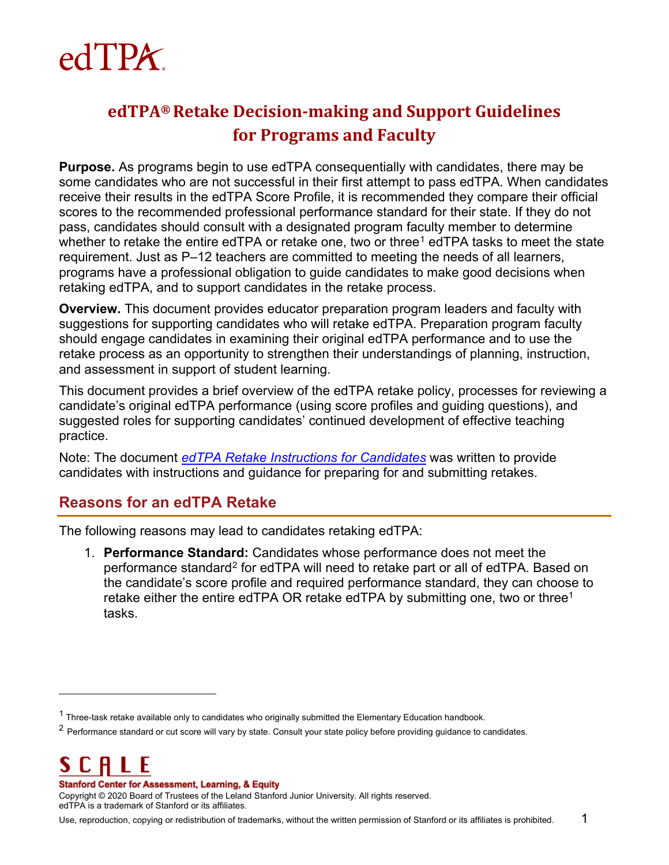

## <span id="page-0-0"></span>**edTPA® Retake Decision-making and Support Guidelines for Programs and Faculty**

**Purpose.** As programs begin to use edTPA consequentially with candidates, there may be some candidates who are not successful in their first attempt to pass edTPA. When candidates receive their results in the edTPA Score Profile, it is recommended they compare their official scores to the recommended professional performance standard for their state. If they do not pass, candidates should consult with a designated program faculty member to determine whether to retake the entire edTPA or retake one, two or three<sup>[1](#page-0-1)</sup> edTPA tasks to meet the state requirement. Just as P–12 teachers are committed to meeting the needs of all learners, programs have a professional obligation to guide candidates to make good decisions when retaking edTPA, and to support candidates in the retake process.

**Overview.** This document provides educator preparation program leaders and faculty with suggestions for supporting candidates who will retake edTPA. Preparation program faculty should engage candidates in examining their original edTPA performance and to use the retake process as an opportunity to strengthen their understandings of planning, instruction, and assessment in support of student learning.

This document provides a brief overview of the edTPA retake policy, processes for reviewing a candidate's original edTPA performance (using score profiles and guiding questions), and suggested roles for supporting candidates' continued development of effective teaching practice.

Note: The document *[edTPA Retake Instructions for Candidates](http://www.tx.nesinc.com/Content/Docs/edTPATaskRetakeInstructions.pdf)* [w](http://www.edtpa.com/Content/Docs/edTPATaskRetakeInstructions.pdf)as written to provide candidates with instructions and guidance for preparing for and submitting retakes.

## **Reasons for an edTPA Retake**

The following reasons may lead to candidates retaking edTPA:

1. **Performance Standard:** Candidates whose performance does not meet the performance standard<sup>[2](#page-0-2)</sup> for edTPA will need to retake part or all of edTPA. Based on the candidate's score profile and required performance standard, they can choose to retake either the entire edTPA OR retake edTPA by submitting one, two or three<sup>1</sup> tasks.

SCH Ł

 $\ddot{\phantom{a}}$ 

#### **Stanford Center for Assessment, Learning, & Equity**

<span id="page-0-1"></span> $1$  Three-task retake available only to candidates who originally submitted the Elementary Education handbook.

<span id="page-0-2"></span><sup>&</sup>lt;sup>2</sup> Performance standard or cut score will vary by state. Consult your state policy before providing guidance to candidates.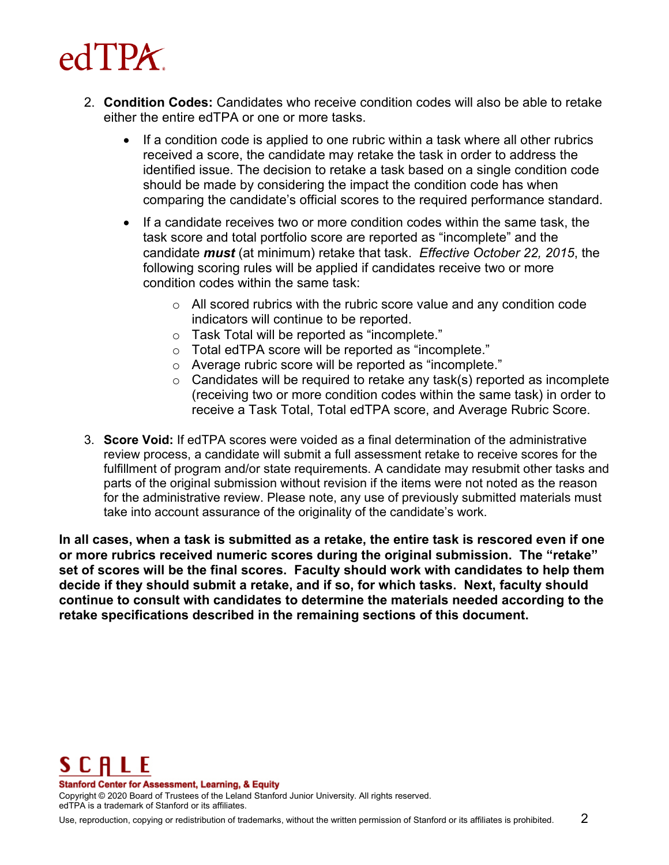

- 2. **Condition Codes:** Candidates who receive condition codes will also be able to retake either the entire edTPA or one or more tasks.
	- If a condition code is applied to one rubric within a task where all other rubrics received a score, the candidate may retake the task in order to address the identified issue. The decision to retake a task based on a single condition code should be made by considering the impact the condition code has when comparing the candidate's official scores to the required performance standard.
	- If a candidate receives two or more condition codes within the same task, the task score and total portfolio score are reported as "incomplete" and the candidate *must* (at minimum) retake that task. *Effective October 22, 2015*, the following scoring rules will be applied if candidates receive two or more condition codes within the same task:
		- $\circ$  All scored rubrics with the rubric score value and any condition code indicators will continue to be reported.
		- o Task Total will be reported as "incomplete."
		- o Total edTPA score will be reported as "incomplete."
		- o Average rubric score will be reported as "incomplete."
		- $\circ$  Candidates will be required to retake any task(s) reported as incomplete (receiving two or more condition codes within the same task) in order to receive a Task Total, Total edTPA score, and Average Rubric Score.
- 3. **Score Void:** If edTPA scores were voided as a final determination of the administrative review process, a candidate will submit a full assessment retake to receive scores for the fulfillment of program and/or state requirements. A candidate may resubmit other tasks and parts of the original submission without revision if the items were not noted as the reason for the administrative review. Please note, any use of previously submitted materials must take into account assurance of the originality of the candidate's work.

**In all cases, when a task is submitted as a retake, the entire task is rescored even if one or more rubrics received numeric scores during the original submission. The "retake" set of scores will be the final scores. Faculty should work with candidates to help them decide if they should submit a retake, and if so, for which tasks. Next, faculty should continue to consult with candidates to determine the materials needed according to the retake specifications described in the remaining sections of this document.** 



**Stanford Center for Assessment, Learning, & Equity**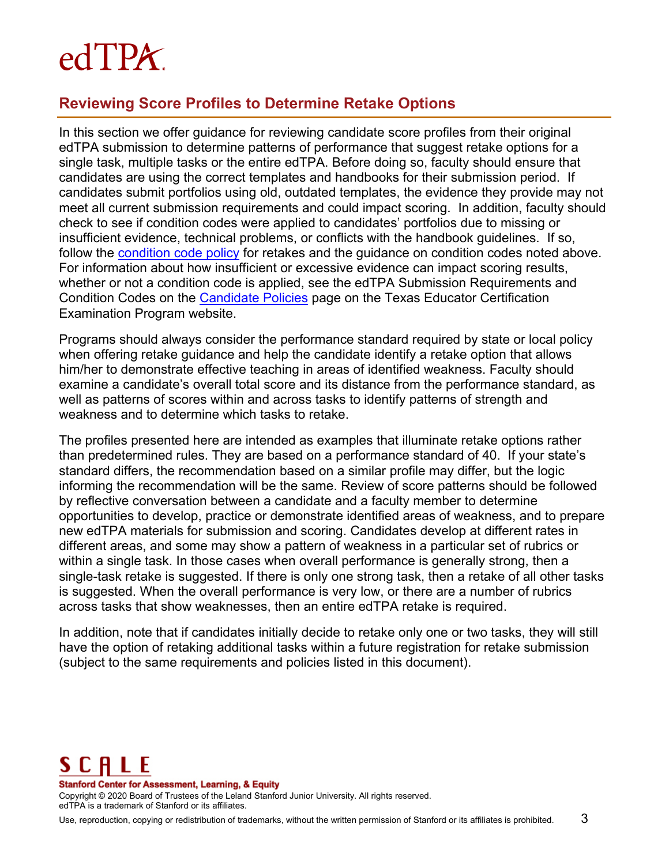# edTPA.

## **Reviewing Score Profiles to Determine Retake Options**

In this section we offer guidance for reviewing candidate score profiles from their original edTPA submission to determine patterns of performance that suggest retake options for a single task, multiple tasks or the entire edTPA. Before doing so, faculty should ensure that candidates are using the correct templates and handbooks for their submission period. If candidates submit portfolios using old, outdated templates, the evidence they provide may not meet all current submission requirements and could impact scoring. In addition, faculty should check to see if condition codes were applied to candidates' portfolios due to missing or insufficient evidence, technical problems, or conflicts with the handbook guidelines. If so, follow the [condition code policy](https://secure.aacte.org/apps/rl/resource.php?resid=470&ref=rl) for retakes and the quidance on condition codes noted above. For information about how insufficient or excessive evidence can impact scoring results, whether or not a condition code is applied, see the edTPA Submission Requirements and Condition Codes on the [Candidate](http://www.tx.nesinc.com/TestView.aspx?f=GEN_CandidatePolicies.html) Policies page on the Texas Educator Certification Examination Program website.

Programs should always consider the performance standard required by state or local policy when offering retake guidance and help the candidate identify a retake option that allows him/her to demonstrate effective teaching in areas of identified weakness. Faculty should examine a candidate's overall total score and its distance from the performance standard, as well as patterns of scores within and across tasks to identify patterns of strength and weakness and to determine which tasks to retake.

The profiles presented here are intended as examples that illuminate retake options rather than predetermined rules. They are based on a performance standard of 40. If your state's standard differs, the recommendation based on a similar profile may differ, but the logic informing the recommendation will be the same. Review of score patterns should be followed by reflective conversation between a candidate and a faculty member to determine opportunities to develop, practice or demonstrate identified areas of weakness, and to prepare new edTPA materials for submission and scoring. Candidates develop at different rates in different areas, and some may show a pattern of weakness in a particular set of rubrics or within a single task. In those cases when overall performance is generally strong, then a single-task retake is suggested. If there is only one strong task, then a retake of all other tasks is suggested. When the overall performance is very low, or there are a number of rubrics across tasks that show weaknesses, then an entire edTPA retake is required.

In addition, note that if candidates initially decide to retake only one or two tasks, they will still have the option of retaking additional tasks within a future registration for retake submission (subject to the same requirements and policies listed in this document).

## SCALE

**Stanford Center for Assessment, Learning, & Equity**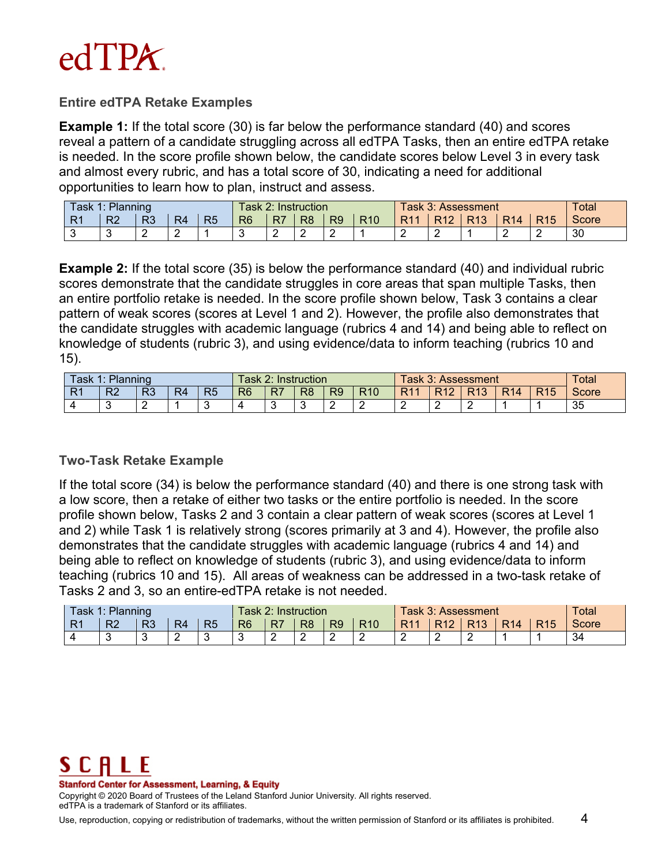

#### **Entire edTPA Retake Examples**

**Example 1:** If the total score (30) is far below the performance standard (40) and scores reveal a pattern of a candidate struggling across all edTPA Tasks, then an entire edTPA retake is needed. In the score profile shown below, the candidate scores below Level 3 in every task and almost every rubric, and has a total score of 30, indicating a need for additional opportunities to learn how to plan, instruct and assess.

| Task 1: Planning    | ask             |          | <b>Instruction</b> |                |                | Task 3: Assessment_ | Total |                |                 |                 |                 |                 |                 |                 |              |
|---------------------|-----------------|----------|--------------------|----------------|----------------|---------------------|-------|----------------|-----------------|-----------------|-----------------|-----------------|-----------------|-----------------|--------------|
| D <sub>4</sub><br>. | R <sub>2</sub>  | D0<br>πJ | R4                 | R <sub>5</sub> | R <sub>6</sub> | R <sub>7</sub>      | R8    | R <sub>9</sub> | R <sub>10</sub> | R <sub>11</sub> | R <sub>12</sub> | R <sub>13</sub> | R <sub>14</sub> | R <sub>15</sub> | <b>Score</b> |
| ∽                   | $\sqrt{2}$<br>ັ |          |                    |                | $\sim$         | r<br>-              |       |                |                 |                 | -               |                 | -               |                 | 30           |

**Example 2:** If the total score (35) is below the performance standard (40) and individual rubric scores demonstrate that the candidate struggles in core areas that span multiple Tasks, then an entire portfolio retake is needed. In the score profile shown below, Task 3 contains a clear pattern of weak scores (scores at Level 1 and 2). However, the profile also demonstrates that the candidate struggles with academic language (rubrics 4 and 14) and being able to reflect on knowledge of students (rubric 3), and using evidence/data to inform teaching (rubrics 10 and 15).

| $\mathsf{Task}$ . | 1: Planning    |                                | <sup>-</sup> ask 2: |                | Instruction    |    |                | Fask 3: Assessment | Total           |                 |                 |                 |                 |                 |       |
|-------------------|----------------|--------------------------------|---------------------|----------------|----------------|----|----------------|--------------------|-----------------|-----------------|-----------------|-----------------|-----------------|-----------------|-------|
| D4<br>.           | R <sub>2</sub> | פם<br>$\overline{\phantom{a}}$ | R⊿                  | R <sub>5</sub> | R <sub>6</sub> | R7 | R <sub>8</sub> | R <sub>9</sub>     | R <sub>10</sub> | R <sub>11</sub> | R <sub>12</sub> | R <sub>13</sub> | R <sub>14</sub> | R <sub>15</sub> | Score |
|                   |                | -                              |                     |                |                |    |                |                    | -               |                 | -               | -               |                 |                 | 35    |

#### **Two-Task Retake Example**

If the total score (34) is below the performance standard (40) and there is one strong task with a low score, then a retake of either two tasks or the entire portfolio is needed. In the score profile shown below, Tasks 2 and 3 contain a clear pattern of weak scores (scores at Level 1 and 2) while Task 1 is relatively strong (scores primarily at 3 and 4). However, the profile also demonstrates that the candidate struggles with academic language (rubrics 4 and 14) and being able to reflect on knowledge of students (rubric 3), and using evidence/data to inform teaching (rubrics 10 and 15). All areas of weakness can be addressed in a two-task retake of Tasks 2 and 3, so an entire-edTPA retake is not needed.

| Task,               | Planning<br>и. | .ask 2:  |                            | Instruction    |                |                | Task 3: Assessment. | <b>Total</b>   |                 |                 |                 |                 |                 |                 |              |
|---------------------|----------------|----------|----------------------------|----------------|----------------|----------------|---------------------|----------------|-----------------|-----------------|-----------------|-----------------|-----------------|-----------------|--------------|
| D <sub>4</sub><br>. | R <sub>2</sub> | מם<br>ĸ٥ | $R_{\rm A}$<br>$\sqrt{-1}$ | R <sub>5</sub> | R <sub>6</sub> | R <sub>7</sub> | R <sub>8</sub>      | R <sub>9</sub> | R <sub>10</sub> | R <sub>11</sub> | R <sub>12</sub> | R <sub>13</sub> | R <sub>14</sub> | R <sub>15</sub> | <b>Score</b> |
|                     | ັ              | ັ        |                            | c              | ◠<br>v         | -              |                     | -              | -               | -               | -               | $\sqrt{2}$<br>- |                 |                 | 34           |



**Stanford Center for Assessment, Learning, & Equity**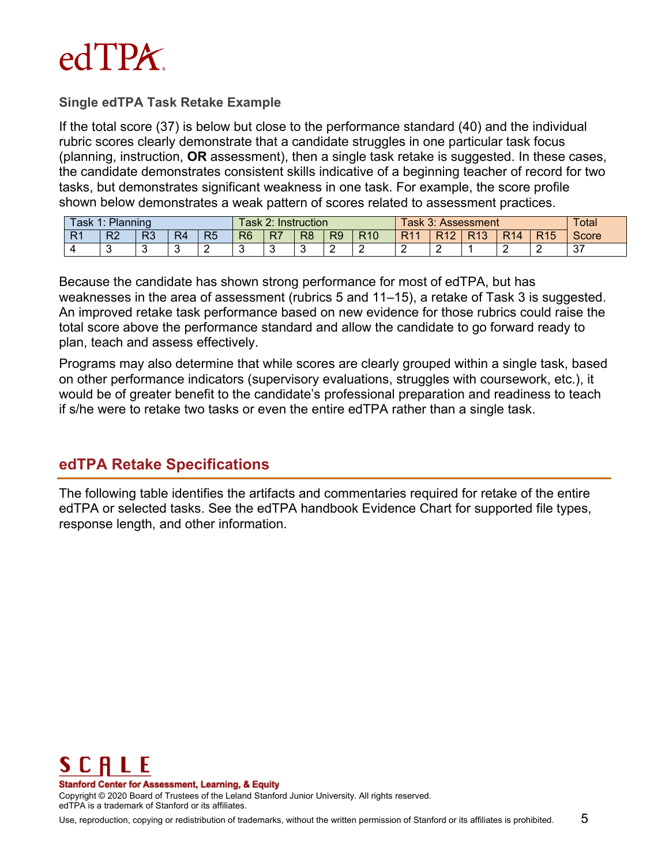

#### **Single edTPA Task Retake Example**

If the total score (37) is below but close to the performance standard (40) and the individual rubric scores clearly demonstrate that a candidate struggles in one particular task focus (planning, instruction, **OR** assessment), then a single task retake is suggested. In these cases, the candidate demonstrates consistent skills indicative of a beginning teacher of record for two tasks, but demonstrates significant weakness in one task. For example, the score profile shown below demonstrates a weak pattern of scores related to assessment practices.

| $\tau$ ask<br>л. | $\sqrt{a}$ sk 2 $\degree$ |            | Instruction |                |                 | Гаsk 3: Assessment | Total          |                |                 |                          |                 |                 |                 |                 |               |
|------------------|---------------------------|------------|-------------|----------------|-----------------|--------------------|----------------|----------------|-----------------|--------------------------|-----------------|-----------------|-----------------|-----------------|---------------|
| D4<br>.          | R <sub>2</sub>            | מם<br>пo.  | R4          | R <sub>5</sub> | R <sub>6</sub>  | R <sub>7</sub>     | R <sub>8</sub> | R <sub>9</sub> | R <sub>10</sub> | R <sub>11</sub>          | R <sub>12</sub> | R <sub>13</sub> | R <sub>14</sub> | R <sub>15</sub> | Score         |
|                  | $\sqrt{2}$                | $\sqrt{2}$ |             | -              | $\sqrt{2}$<br>ື |                    |                | -              | -               | $\overline{\phantom{a}}$ |                 |                 | -               |                 | $\sim$<br>ا ب |

Because the candidate has shown strong performance for most of edTPA, but has weaknesses in the area of assessment (rubrics 5 and 11–15), a retake of Task 3 is suggested. An improved retake task performance based on new evidence for those rubrics could raise the total score above the performance standard and allow the candidate to go forward ready to plan, teach and assess effectively.

Programs may also determine that while scores are clearly grouped within a single task, based on other performance indicators (supervisory evaluations, struggles with coursework, etc.), it would be of greater benefit to the candidate's professional preparation and readiness to teach if s/he were to retake two tasks or even the entire edTPA rather than a single task.

## **edTPA Retake Specifications**

The following table identifies the artifacts and commentaries required for retake of the entire edTPA or selected tasks. See the edTPA handbook Evidence Chart for supported file types, response length, and other information.

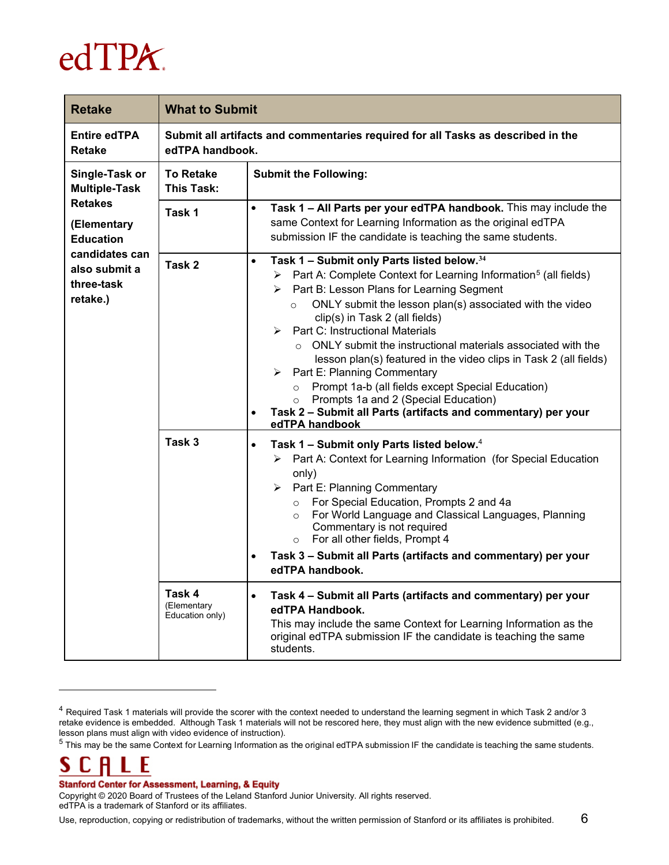

| <b>Retake</b>                                             | <b>What to Submit</b>                    |                                                                                                                                                                                                                                                                                                                                                                                                                                                                                                                                                                                                                                                                                                                                                                          |  |  |  |  |  |  |  |  |
|-----------------------------------------------------------|------------------------------------------|--------------------------------------------------------------------------------------------------------------------------------------------------------------------------------------------------------------------------------------------------------------------------------------------------------------------------------------------------------------------------------------------------------------------------------------------------------------------------------------------------------------------------------------------------------------------------------------------------------------------------------------------------------------------------------------------------------------------------------------------------------------------------|--|--|--|--|--|--|--|--|
| <b>Entire edTPA</b><br><b>Retake</b>                      | edTPA handbook.                          | Submit all artifacts and commentaries required for all Tasks as described in the                                                                                                                                                                                                                                                                                                                                                                                                                                                                                                                                                                                                                                                                                         |  |  |  |  |  |  |  |  |
| Single-Task or<br><b>Multiple-Task</b>                    | <b>To Retake</b><br><b>This Task:</b>    | <b>Submit the Following:</b>                                                                                                                                                                                                                                                                                                                                                                                                                                                                                                                                                                                                                                                                                                                                             |  |  |  |  |  |  |  |  |
| <b>Retakes</b><br>(Elementary<br><b>Education</b>         | Task 1                                   | Task 1 - All Parts per your edTPA handbook. This may include the<br>$\bullet$<br>same Context for Learning Information as the original edTPA<br>submission IF the candidate is teaching the same students.                                                                                                                                                                                                                                                                                                                                                                                                                                                                                                                                                               |  |  |  |  |  |  |  |  |
| candidates can<br>also submit a<br>three-task<br>retake.) | Task 2                                   | Task 1 - Submit only Parts listed below. <sup>34</sup><br>$\bullet$<br>$\triangleright$ Part A: Complete Context for Learning Information <sup>5</sup> (all fields)<br>> Part B: Lesson Plans for Learning Segment<br>ONLY submit the lesson plan(s) associated with the video<br>$\circ$<br>clip(s) in Task 2 (all fields)<br><b>Part C: Instructional Materials</b><br>↘<br>o ONLY submit the instructional materials associated with the<br>lesson plan(s) featured in the video clips in Task 2 (all fields)<br>$\triangleright$ Part E: Planning Commentary<br>Prompt 1a-b (all fields except Special Education)<br>$\circ$<br>Prompts 1a and 2 (Special Education)<br>Task 2 - Submit all Parts (artifacts and commentary) per your<br>$\bullet$<br>edTPA handbook |  |  |  |  |  |  |  |  |
|                                                           | Task 3                                   | Task 1 - Submit only Parts listed below. <sup>4</sup><br>$\bullet$<br>> Part A: Context for Learning Information (for Special Education<br>only)<br>$\triangleright$ Part E: Planning Commentary<br>o For Special Education, Prompts 2 and 4a<br>For World Language and Classical Languages, Planning<br>$\circ$<br>Commentary is not required<br>o For all other fields, Prompt 4<br>Task 3 - Submit all Parts (artifacts and commentary) per your<br>$\bullet$<br>edTPA handbook.                                                                                                                                                                                                                                                                                      |  |  |  |  |  |  |  |  |
|                                                           | Task 4<br>(Elementary<br>Education only) | Task 4 - Submit all Parts (artifacts and commentary) per your<br>$\bullet$<br>edTPA Handbook.<br>This may include the same Context for Learning Information as the<br>original edTPA submission IF the candidate is teaching the same<br>students.                                                                                                                                                                                                                                                                                                                                                                                                                                                                                                                       |  |  |  |  |  |  |  |  |

#### S Ŀ

 $\overline{a}$ 

#### **Stanford Center for Assessment, Learning, & Equity**

<span id="page-5-0"></span><sup>4</sup> Required Task 1 materials will provide the scorer with the context needed to understand the learning segment in which Task 2 and/or 3 retake evidence is embedded. Although Task 1 materials will not be rescored here, they must align with the new evidence submitted (e.g., lesson plans must align with video evidence of instruction).

<span id="page-5-1"></span> $5$  This may be the same Context for Learning Information as the original edTPA submission IF the candidate is teaching the same students.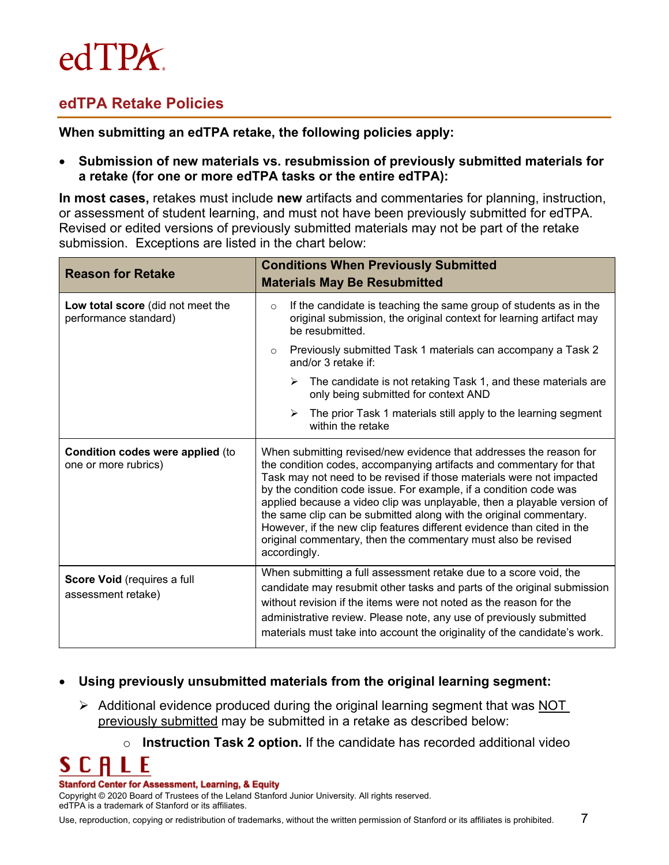## $edTPA$

## **edTPA Retake Policies**

**When submitting an edTPA retake, the following policies apply:**

#### • **Submission of new materials vs. resubmission of previously submitted materials for a retake (for one or more edTPA tasks or the entire edTPA):**

**In most cases,** retakes must include **new** artifacts and commentaries for planning, instruction, or assessment of student learning, and must not have been previously submitted for edTPA. Revised or edited versions of previously submitted materials may not be part of the retake submission. Exceptions are listed in the chart below:

| <b>Reason for Retake</b>                                        | <b>Conditions When Previously Submitted</b><br><b>Materials May Be Resubmitted</b>                                                                                                                                                                                                                                                                                                                                                                                                                                                                                                                 |  |  |  |  |  |  |
|-----------------------------------------------------------------|----------------------------------------------------------------------------------------------------------------------------------------------------------------------------------------------------------------------------------------------------------------------------------------------------------------------------------------------------------------------------------------------------------------------------------------------------------------------------------------------------------------------------------------------------------------------------------------------------|--|--|--|--|--|--|
| Low total score (did not meet the<br>performance standard)      | If the candidate is teaching the same group of students as in the<br>$\circ$<br>original submission, the original context for learning artifact may<br>be resubmitted.                                                                                                                                                                                                                                                                                                                                                                                                                             |  |  |  |  |  |  |
|                                                                 | Previously submitted Task 1 materials can accompany a Task 2<br>$\circ$<br>and/or 3 retake if:                                                                                                                                                                                                                                                                                                                                                                                                                                                                                                     |  |  |  |  |  |  |
|                                                                 | $\triangleright$ The candidate is not retaking Task 1, and these materials are<br>only being submitted for context AND                                                                                                                                                                                                                                                                                                                                                                                                                                                                             |  |  |  |  |  |  |
|                                                                 | $\triangleright$ The prior Task 1 materials still apply to the learning segment<br>within the retake                                                                                                                                                                                                                                                                                                                                                                                                                                                                                               |  |  |  |  |  |  |
| <b>Condition codes were applied (to</b><br>one or more rubrics) | When submitting revised/new evidence that addresses the reason for<br>the condition codes, accompanying artifacts and commentary for that<br>Task may not need to be revised if those materials were not impacted<br>by the condition code issue. For example, if a condition code was<br>applied because a video clip was unplayable, then a playable version of<br>the same clip can be submitted along with the original commentary.<br>However, if the new clip features different evidence than cited in the<br>original commentary, then the commentary must also be revised<br>accordingly. |  |  |  |  |  |  |
| Score Void (requires a full<br>assessment retake)               | When submitting a full assessment retake due to a score void, the<br>candidate may resubmit other tasks and parts of the original submission<br>without revision if the items were not noted as the reason for the<br>administrative review. Please note, any use of previously submitted<br>materials must take into account the originality of the candidate's work.                                                                                                                                                                                                                             |  |  |  |  |  |  |

### • **Using previously unsubmitted materials from the original learning segment:**

- $\triangleright$  Additional evidence produced during the original learning segment that was NOT previously submitted may be submitted in a retake as described below:
	- o **Instruction Task 2 option.** If the candidate has recorded additional video

C A S. Ł

#### **Stanford Center for Assessment, Learning, & Equity**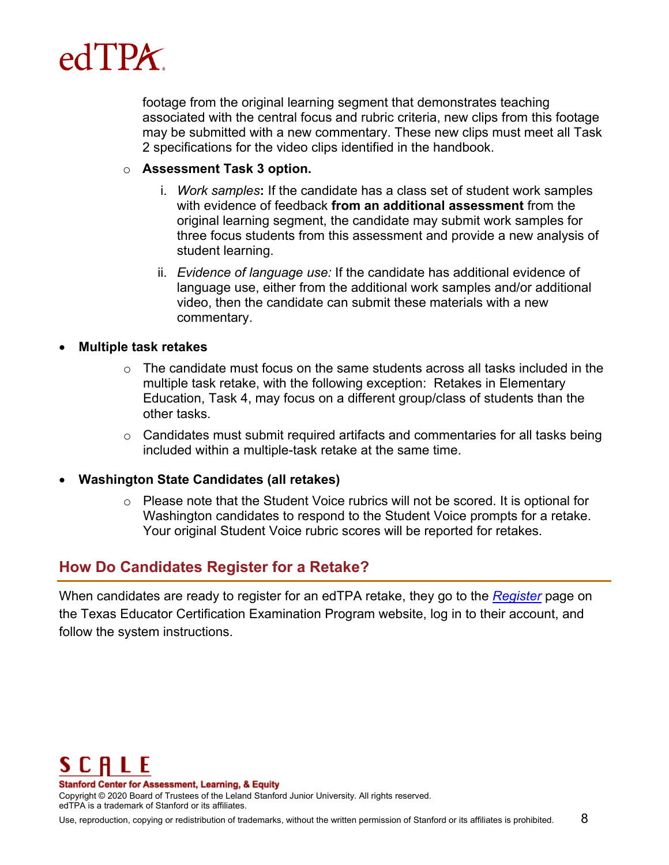

footage from the original learning segment that demonstrates teaching associated with the central focus and rubric criteria, new clips from this footage may be submitted with a new commentary. These new clips must meet all Task 2 specifications for the video clips identified in the handbook.

#### o **Assessment Task 3 option.**

- i. *Work samples***:** If the candidate has a class set of student work samples with evidence of feedback **from an additional assessment** from the original learning segment, the candidate may submit work samples for three focus students from this assessment and provide a new analysis of student learning.
- ii. *Evidence of language use:* If the candidate has additional evidence of language use, either from the additional work samples and/or additional video, then the candidate can submit these materials with a new commentary.

#### • **Multiple task retakes**

- $\circ$  The candidate must focus on the same students across all tasks included in the multiple task retake, with the following exception: Retakes in Elementary Education, Task 4, may focus on a different group/class of students than the other tasks.
- $\circ$  Candidates must submit required artifacts and commentaries for all tasks being included within a multiple-task retake at the same time.

#### • **Washington State Candidates (all retakes)**

 $\circ$  Please note that the Student Voice rubrics will not be scored. It is optional for Washington candidates to respond to the Student Voice prompts for a retake. Your original Student Voice rubric scores will be reported for retakes.

### **How Do Candidates Register for a Retake?**

When candidates are ready to register for an edTPA retake, they go to the *[Register](http://www.tx.nesinc.com/PageView.aspx?f=GEN_Register.html)* page on the Texas Educator Certification Examination Program website, log in to their account, and follow the system instructions.



**Stanford Center for Assessment, Learning, & Equity**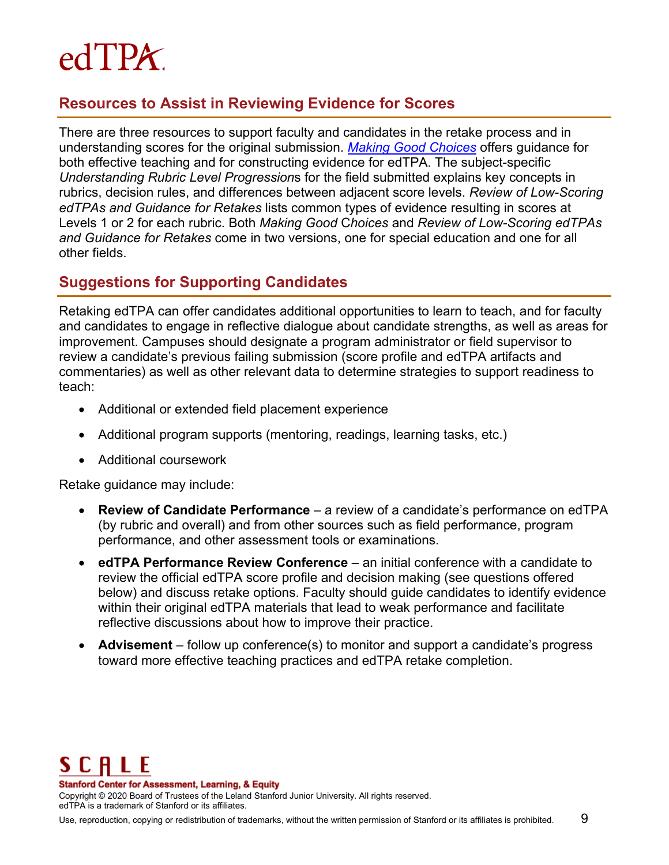## $edTPX$

## **Resources to Assist in Reviewing Evidence for Scores**

There are three resources to support faculty and candidates in the retake process and in understanding scores for the original submission. *Making [Good Choices](http://www.tx.nesinc.com/TestView.aspx?f=GEN_GettingStarted.html)* offers guidance for both effective teaching and for constructing evidence for edTPA. The subject-specific *Understanding Rubric Level Progression*s for the field submitted explains key concepts in rubrics, decision rules, and differences between adjacent score levels. *Review of Low-Scoring edTPAs and Guidance for Retakes* lists common types of evidence resulting in scores at Levels 1 or 2 for each rubric. Both *Making Good* C*hoices* and *Review of Low-Scoring edTPAs and Guidance for Retakes* come in two versions, one for special education and one for all other fields.

## **Suggestions for Supporting Candidates**

Retaking edTPA can offer candidates additional opportunities to learn to teach, and for faculty and candidates to engage in reflective dialogue about candidate strengths, as well as areas for improvement. Campuses should designate a program administrator or field supervisor to review a candidate's previous failing submission (score profile and edTPA artifacts and commentaries) as well as other relevant data to determine strategies to support readiness to teach:

- Additional or extended field placement experience
- Additional program supports (mentoring, readings, learning tasks, etc.)
- Additional coursework

Retake guidance may include:

- **Review of Candidate Performance**  a review of a candidate's performance on edTPA (by rubric and overall) and from other sources such as field performance, program performance, and other assessment tools or examinations.
- **edTPA Performance Review Conference**  an initial conference with a candidate to review the official edTPA score profile and decision making (see questions offered below) and discuss retake options. Faculty should guide candidates to identify evidence within their original edTPA materials that lead to weak performance and facilitate reflective discussions about how to improve their practice.
- **Advisement**  follow up conference(s) to monitor and support a candidate's progress toward more effective teaching practices and edTPA retake completion.



**Stanford Center for Assessment, Learning, & Equity**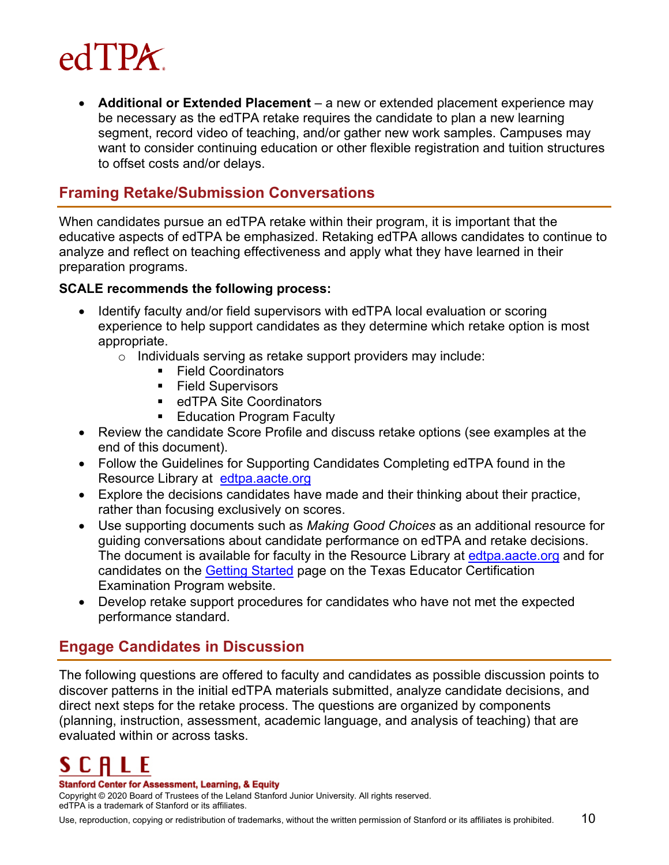

• **Additional or Extended Placement** – a new or extended placement experience may be necessary as the edTPA retake requires the candidate to plan a new learning segment, record video of teaching, and/or gather new work samples. Campuses may want to consider continuing education or other flexible registration and tuition structures to offset costs and/or delays.

### **Framing Retake/Submission Conversations**

When candidates pursue an edTPA retake within their program, it is important that the educative aspects of edTPA be emphasized. Retaking edTPA allows candidates to continue to analyze and reflect on teaching effectiveness and apply what they have learned in their preparation programs.

#### **SCALE recommends the following process:**

- Identify faculty and/or field supervisors with edTPA local evaluation or scoring experience to help support candidates as they determine which retake option is most appropriate.
	- o Individuals serving as retake support providers may include:
		- Field Coordinators
		- **Field Supervisors**
		- edTPA Site Coordinators
		- **Education Program Faculty**
- Review the candidate Score Profile and discuss retake options (see examples at the end of this document).
- Follow the Guidelines for Supporting Candidates Completing edTPA found in the Resource Library at [edtpa.aacte.org](http://edtpa.aacte.org/)
- Explore the decisions candidates have made and their thinking about their practice, rather than focusing exclusively on scores.
- Use supporting documents such as *Making Good Choices* as an additional resource for guiding conversations about candidate performance on edTPA and retake decisions. The document is available for faculty in the Resource Library at [edtpa.aacte.org](http://edtpa.aacte.org/) and for candidates on the [Getting Started](http://www.tx.nesinc.com/TestView.aspx?f=GEN_GettingStarted.html) page on the Texas Educator Certification Examination Program websit[e.](http://www.edtpa.com/)
- Develop retake support procedures for candidates who have not met the expected performance standard.

## **Engage Candidates in Discussion**

The following questions are offered to faculty and candidates as possible discussion points to discover patterns in the initial edTPA materials submitted, analyze candidate decisions, and direct next steps for the retake process. The questions are organized by components (planning, instruction, assessment, academic language, and analysis of teaching) that are evaluated within or across tasks.

#### **Stanford Center for Assessment, Learning, & Equity**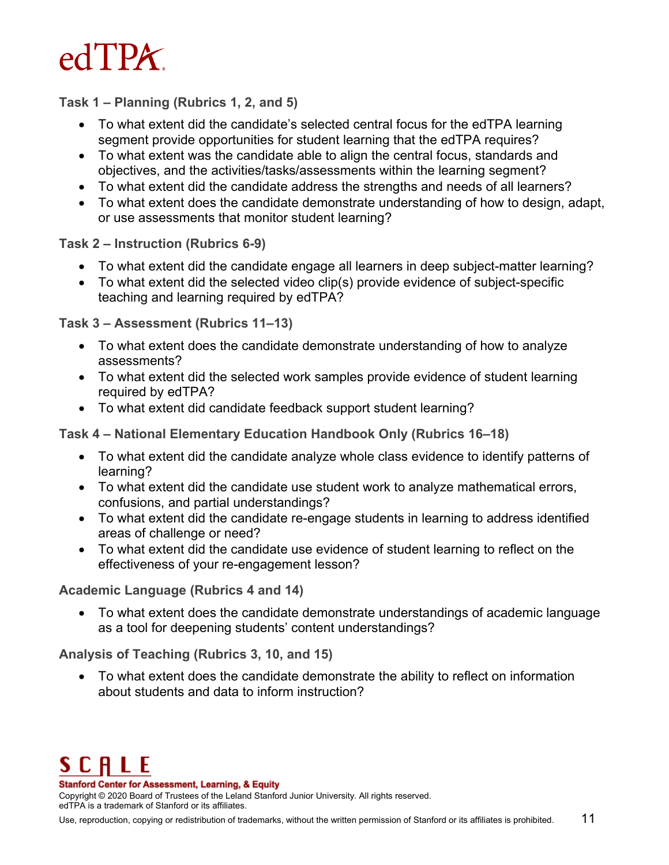

**Task 1 – Planning (Rubrics 1, 2, and 5)**

- To what extent did the candidate's selected central focus for the edTPA learning segment provide opportunities for student learning that the edTPA requires?
- To what extent was the candidate able to align the central focus, standards and objectives, and the activities/tasks/assessments within the learning segment?
- To what extent did the candidate address the strengths and needs of all learners?
- To what extent does the candidate demonstrate understanding of how to design, adapt, or use assessments that monitor student learning?

**Task 2 – Instruction (Rubrics 6-9)**

- To what extent did the candidate engage all learners in deep subject-matter learning?
- To what extent did the selected video clip(s) provide evidence of subject-specific teaching and learning required by edTPA?

**Task 3 – Assessment (Rubrics 11–13)**

- To what extent does the candidate demonstrate understanding of how to analyze assessments?
- To what extent did the selected work samples provide evidence of student learning required by edTPA?
- To what extent did candidate feedback support student learning?

**Task 4 – National Elementary Education Handbook Only (Rubrics 16–18)**

- To what extent did the candidate analyze whole class evidence to identify patterns of learning?
- To what extent did the candidate use student work to analyze mathematical errors, confusions, and partial understandings?
- To what extent did the candidate re-engage students in learning to address identified areas of challenge or need?
- To what extent did the candidate use evidence of student learning to reflect on the effectiveness of your re-engagement lesson?

**Academic Language (Rubrics 4 and 14)**

• To what extent does the candidate demonstrate understandings of academic language as a tool for deepening students' content understandings?

**Analysis of Teaching (Rubrics 3, 10, and 15)**

• To what extent does the candidate demonstrate the ability to reflect on information about students and data to inform instruction?



**Stanford Center for Assessment, Learning, & Equity**